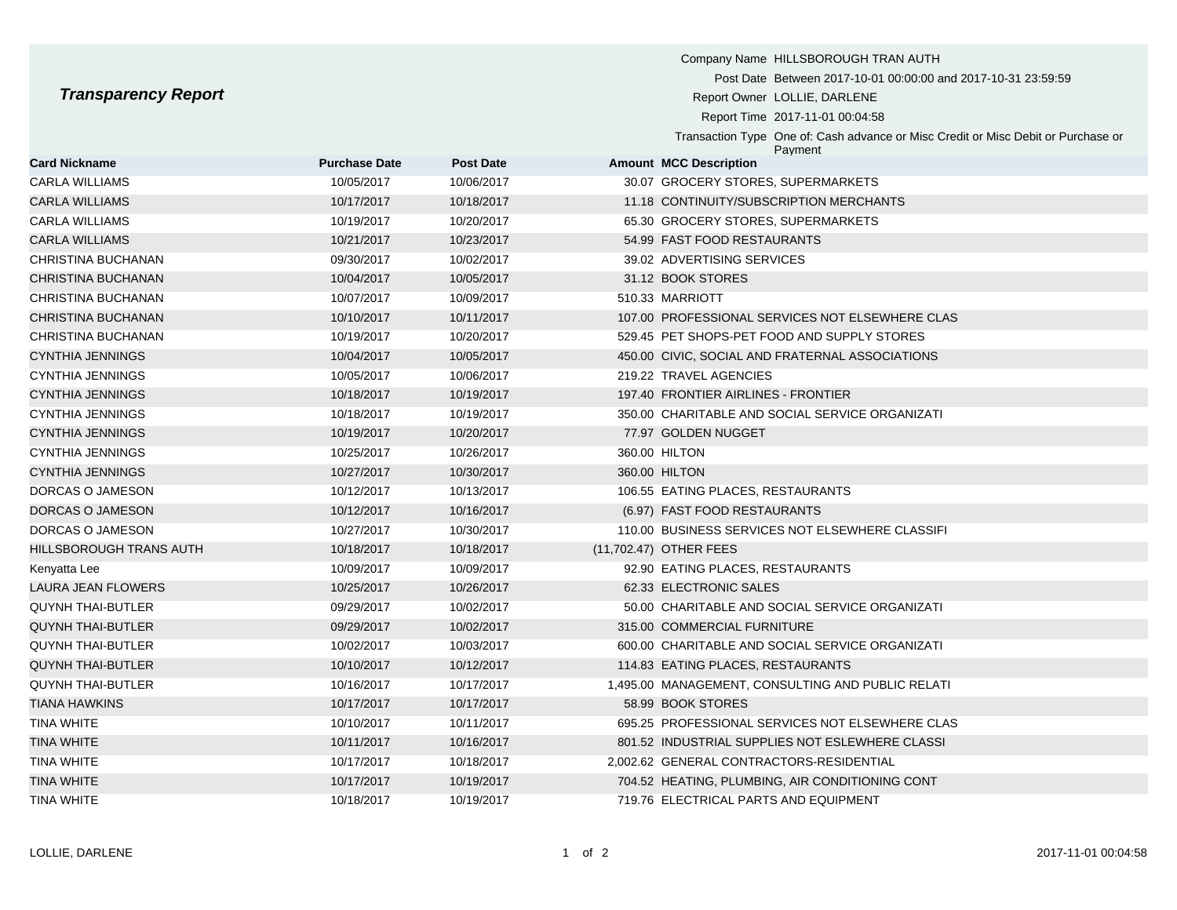## **Transparency Report**

|                            |                      |                  | Company Name HILLSBOROUGH TRAN AUTH                                                          |
|----------------------------|----------------------|------------------|----------------------------------------------------------------------------------------------|
| <b>Transparency Report</b> |                      |                  | Post Date Between 2017-10-01 00:00:00 and 2017-10-31 23:59:59                                |
|                            |                      |                  | Report Owner LOLLIE, DARLENE                                                                 |
|                            |                      |                  | Report Time 2017-11-01 00:04:58                                                              |
|                            |                      |                  | Transaction Type One of: Cash advance or Misc Credit or Misc Debit or Purchase or<br>Payment |
| <b>Card Nickname</b>       | <b>Purchase Date</b> | <b>Post Date</b> | <b>Amount MCC Description</b>                                                                |
| <b>CARLA WILLIAMS</b>      | 10/05/2017           | 10/06/2017       | 30.07 GROCERY STORES, SUPERMARKETS                                                           |
| <b>CARLA WILLIAMS</b>      | 10/17/2017           | 10/18/2017       | 11.18 CONTINUITY/SUBSCRIPTION MERCHANTS                                                      |
| <b>CARLA WILLIAMS</b>      | 10/19/2017           | 10/20/2017       | 65.30 GROCERY STORES, SUPERMARKETS                                                           |
| <b>CARLA WILLIAMS</b>      | 10/21/2017           | 10/23/2017       | 54.99 FAST FOOD RESTAURANTS                                                                  |
| CHRISTINA BUCHANAN         | 09/30/2017           | 10/02/2017       | 39.02 ADVERTISING SERVICES                                                                   |
| <b>CHRISTINA BUCHANAN</b>  | 10/04/2017           | 10/05/2017       | 31.12 BOOK STORES                                                                            |
| CHRISTINA BUCHANAN         | 10/07/2017           | 10/09/2017       | 510.33 MARRIOTT                                                                              |
| <b>CHRISTINA BUCHANAN</b>  | 10/10/2017           | 10/11/2017       | 107.00 PROFESSIONAL SERVICES NOT ELSEWHERE CLAS                                              |
| <b>CHRISTINA BUCHANAN</b>  | 10/19/2017           | 10/20/2017       | 529.45 PET SHOPS-PET FOOD AND SUPPLY STORES                                                  |
| <b>CYNTHIA JENNINGS</b>    | 10/04/2017           | 10/05/2017       | 450.00 CIVIC, SOCIAL AND FRATERNAL ASSOCIATIONS                                              |
| <b>CYNTHIA JENNINGS</b>    | 10/05/2017           | 10/06/2017       | 219.22 TRAVEL AGENCIES                                                                       |
| <b>CYNTHIA JENNINGS</b>    | 10/18/2017           | 10/19/2017       | 197.40 FRONTIER AIRLINES - FRONTIER                                                          |
| <b>CYNTHIA JENNINGS</b>    | 10/18/2017           | 10/19/2017       | 350.00 CHARITABLE AND SOCIAL SERVICE ORGANIZATI                                              |
| <b>CYNTHIA JENNINGS</b>    | 10/19/2017           | 10/20/2017       | 77.97 GOLDEN NUGGET                                                                          |
| <b>CYNTHIA JENNINGS</b>    | 10/25/2017           | 10/26/2017       | 360.00 HILTON                                                                                |
| <b>CYNTHIA JENNINGS</b>    | 10/27/2017           | 10/30/2017       | 360.00 HILTON                                                                                |
|                            |                      |                  |                                                                                              |

- DORCAS O JAMESON 10/12/2017 10/13/2017 106.55 EATING PLACES, RESTAURANTS
- DORCAS O JAMESON 10/12/2017 10/16/2017 (6.97) FAST FOOD RESTAURANTS DORCAS O JAMESON 10/27/2017 10/30/2017 110.00 BUSINESS SERVICES NOT ELSEWHERE CLASSIFI
- HILLSBOROUGH TRANS AUTH 10/18/2017 10/18/2017 (11,702.47) OTHER FEES Kenyatta Lee 10/09/2017 10/09/2017 10/09/2017 10/09/2017 92.90 EATING PLACES, RESTAURANTS LAURA JEAN FLOWERS 10/25/2017 10/26/2017 62.33 ELECTRONIC SALES
- QUYNH THAI-BUTLER **10/02/2017** 09/29/2017 10/02/2017 10/02/2017 50.00 CHARITABLE AND SOCIAL SERVICE ORGANIZATI
- QUYNH THAI-BUTLER 09/29/2017 10/02/2017 315.00 COMMERCIAL FURNITURE
- QUYNH THAI-BUTLER 10/02/2017 10/03/2017 600.00 CHARITABLE AND SOCIAL SERVICE ORGANIZATI
- QUYNH THAI-BUTLER 10/10/2017 10/12/2017 114.83 EATING PLACES, RESTAURANTS QUYNH THAI-BUTLER 10/16/2017 10/17/2017 1,495.00 MANAGEMENT, CONSULTING AND PUBLIC RELATI TIANA HAWKINS 10/17/2017 10/17/2017 58.99 BOOK STORES TINA WHITE 10/10/2017 10/11/2017 695.25 PROFESSIONAL SERVICES NOT ELSEWHERE CLAS TINA WHITE 10/11/2017 10/11/2017 10/16/2017 801.52 INDUSTRIAL SUPPLIES NOT ESLEWHERE CLASSI TINA WHITE 10/17/2017 10/18/2017 2,002.62 GENERAL CONTRACTORS-RESIDENTIAL TINA WHITE 10/17/2017 10/19/2017 704.52 HEATING, PLUMBING, AIR CONDITIONING CONT TINA WHITE 10/18/2017 10/19/2017 719.76 ELECTRICAL PARTS AND EQUIPMENT